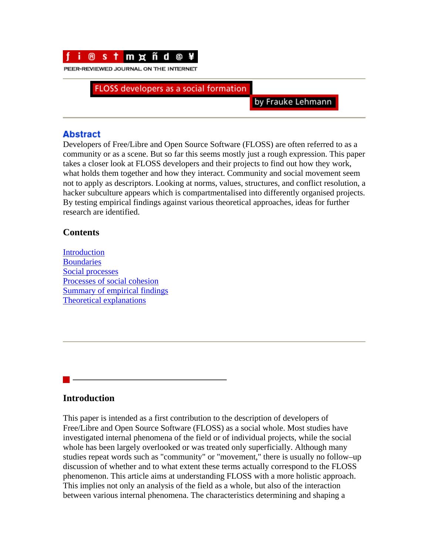

PEER-REVIEWED JOURNAL ON THE INTERNET

FLOSS developers as a social formation

by Frauke Lehmann

## **Abstract**

Developers of Free/Libre and Open Source Software (FLOSS) are often referred to as a community or as a scene. But so far this seems mostly just a rough expression. This paper takes a closer look at FLOSS developers and their projects to find out how they work, what holds them together and how they interact. Community and social movement seem not to apply as descriptors. Looking at norms, values, structures, and conflict resolution, a hacker subculture appears which is compartmentalised into differently organised projects. By testing empirical findings against various theoretical approaches, ideas for further research are identified.

## **Contents**

[Introduction](http://www.firstmonday.org/issues/issue9_11/lehmann/index.html#l1) **[Boundaries](http://www.firstmonday.org/issues/issue9_11/lehmann/index.html#l2)** [Social processes](http://www.firstmonday.org/issues/issue9_11/lehmann/index.html#l3) [Processes of social cohesion](http://www.firstmonday.org/issues/issue9_11/lehmann/index.html#l4) [Summary of empirical findings](http://www.firstmonday.org/issues/issue9_11/lehmann/index.html#l5) [Theoretical explanations](http://www.firstmonday.org/issues/issue9_11/lehmann/index.html#l6)

# **Introduction**

This paper is intended as a first contribution to the description of developers of Free/Libre and Open Source Software (FLOSS) as a social whole. Most studies have investigated internal phenomena of the field or of individual projects, while the social whole has been largely overlooked or was treated only superficially. Although many studies repeat words such as "community" or "movement," there is usually no follow–up discussion of whether and to what extent these terms actually correspond to the FLOSS phenomenon. This article aims at understanding FLOSS with a more holistic approach. This implies not only an analysis of the field as a whole, but also of the interaction between various internal phenomena. The characteristics determining and shaping a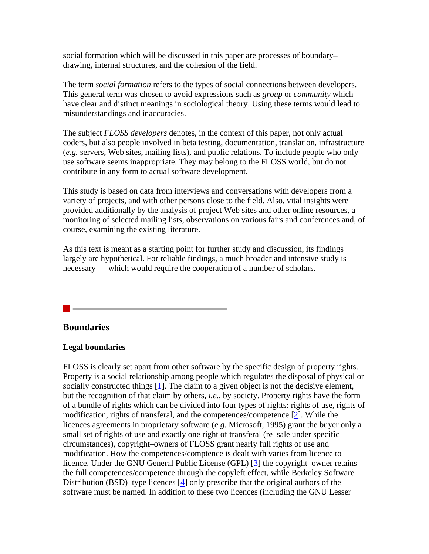social formation which will be discussed in this paper are processes of boundary– drawing, internal structures, and the cohesion of the field.

The term *social formation* refers to the types of social connections between developers. This general term was chosen to avoid expressions such as *group* or *community* which have clear and distinct meanings in sociological theory. Using these terms would lead to misunderstandings and inaccuracies.

The subject *FLOSS developers* denotes, in the context of this paper, not only actual coders, but also people involved in beta testing, documentation, translation, infrastructure (*e.g.* servers, Web sites, mailing lists), and public relations. To include people who only use software seems inappropriate. They may belong to the FLOSS world, but do not contribute in any form to actual software development.

This study is based on data from interviews and conversations with developers from a variety of projects, and with other persons close to the field. Also, vital insights were provided additionally by the analysis of project Web sites and other online resources, a monitoring of selected mailing lists, observations on various fairs and conferences and, of course, examining the existing literature.

As this text is meant as a starting point for further study and discussion, its findings largely are hypothetical. For reliable findings, a much broader and intensive study is necessary — which would require the cooperation of a number of scholars.

#### **Boundaries**

#### **Legal boundaries**

FLOSS is clearly set apart from other software by the specific design of property rights. Property is a social relationship among people which regulates the disposal of physical or socially constructed things [[1\]](http://www.firstmonday.org/issues/issue9_11/lehmann/index.html#note1). The claim to a given object is not the decisive element, but the recognition of that claim by others, *i.e.,* by society. Property rights have the form of a bundle of rights which can be divided into four types of rights: rights of use, rights of modification, rights of transferal, and the competences/competence [[2\]](http://www.firstmonday.org/issues/issue9_11/lehmann/index.html#note2). While the licences agreements in proprietary software (*e.g.* Microsoft, 1995) grant the buyer only a small set of rights of use and exactly one right of transferal (re–sale under specific circumstances), copyright–owners of FLOSS grant nearly full rights of use and modification. How the competences/comptence is dealt with varies from licence to licence. Under the GNU General Public License (GPL) [\[3](http://www.firstmonday.org/issues/issue9_11/lehmann/index.html#note3)] the copyright–owner retains the full competences/competence through the copyleft effect, while Berkeley Software Distribution (BSD)–type licences [[4\]](http://www.firstmonday.org/issues/issue9_11/lehmann/index.html#note4) only prescribe that the original authors of the software must be named. In addition to these two licences (including the GNU Lesser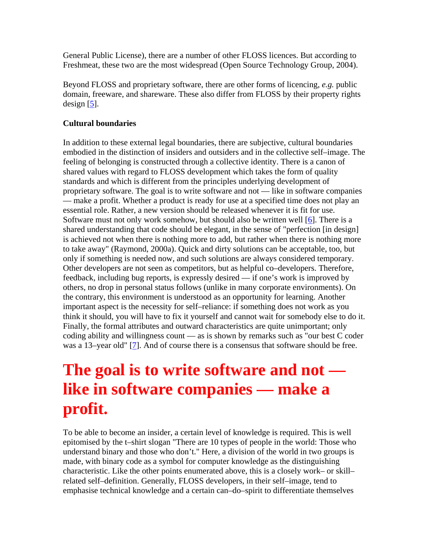General Public License), there are a number of other FLOSS licences. But according to Freshmeat, these two are the most widespread (Open Source Technology Group, 2004).

Beyond FLOSS and proprietary software, there are other forms of licencing, *e.g.* public domain, freeware, and shareware. These also differ from FLOSS by their property rights design  $[5]$  $[5]$ .

### **Cultural boundaries**

In addition to these external legal boundaries, there are subjective, cultural boundaries embodied in the distinction of insiders and outsiders and in the collective self–image. The feeling of belonging is constructed through a collective identity. There is a canon of shared values with regard to FLOSS development which takes the form of quality standards and which is different from the principles underlying development of proprietary software. The goal is to write software and not — like in software companies — make a profit. Whether a product is ready for use at a specified time does not play an essential role. Rather, a new version should be released whenever it is fit for use. Software must not only work somehow, but should also be written well [[6\]](http://www.firstmonday.org/issues/issue9_11/lehmann/index.html#note6). There is a shared understanding that code should be elegant, in the sense of "perfection [in design] is achieved not when there is nothing more to add, but rather when there is nothing more to take away" (Raymond, 2000a). Quick and dirty solutions can be acceptable, too, but only if something is needed now, and such solutions are always considered temporary. Other developers are not seen as competitors, but as helpful co–developers. Therefore, feedback, including bug reports, is expressly desired — if one's work is improved by others, no drop in personal status follows (unlike in many corporate environments). On the contrary, this environment is understood as an opportunity for learning. Another important aspect is the necessity for self–reliance: if something does not work as you think it should, you will have to fix it yourself and cannot wait for somebody else to do it. Finally, the formal attributes and outward characteristics are quite unimportant; only coding ability and willingness count — as is shown by remarks such as "our best C coder was a 13–year old" [[7\]](http://www.firstmonday.org/issues/issue9_11/lehmann/index.html#note7). And of course there is a consensus that software should be free.

# **The goal is to write software and not like in software companies — make a profit.**

To be able to become an insider, a certain level of knowledge is required. This is well epitomised by the t–shirt slogan "There are 10 types of people in the world: Those who understand binary and those who don't." Here, a division of the world in two groups is made, with binary code as a symbol for computer knowledge as the distinguishing characteristic. Like the other points enumerated above, this is a closely work– or skill– related self–definition. Generally, FLOSS developers, in their self–image, tend to emphasise technical knowledge and a certain can–do–spirit to differentiate themselves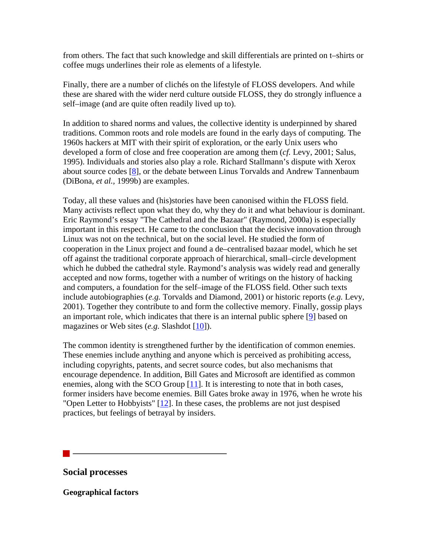from others. The fact that such knowledge and skill differentials are printed on t–shirts or coffee mugs underlines their role as elements of a lifestyle.

Finally, there are a number of clichés on the lifestyle of FLOSS developers. And while these are shared with the wider nerd culture outside FLOSS, they do strongly influence a self–image (and are quite often readily lived up to).

In addition to shared norms and values, the collective identity is underpinned by shared traditions. Common roots and role models are found in the early days of computing. The 1960s hackers at MIT with their spirit of exploration, or the early Unix users who developed a form of close and free cooperation are among them (*cf.* Levy, 2001; Salus, 1995). Individuals and stories also play a role. Richard Stallmann's dispute with Xerox about source codes [\[8](http://www.firstmonday.org/issues/issue9_11/lehmann/index.html#note8)], or the debate between Linus Torvalds and Andrew Tannenbaum (DiBona, *et al.,* 1999b) are examples.

Today, all these values and (his)stories have been canonised within the FLOSS field. Many activists reflect upon what they do, why they do it and what behaviour is dominant. Eric Raymond's essay "The Cathedral and the Bazaar" (Raymond, 2000a) is especially important in this respect. He came to the conclusion that the decisive innovation through Linux was not on the technical, but on the social level. He studied the form of cooperation in the Linux project and found a de–centralised bazaar model, which he set off against the traditional corporate approach of hierarchical, small–circle development which he dubbed the cathedral style. Raymond's analysis was widely read and generally accepted and now forms, together with a number of writings on the history of hacking and computers, a foundation for the self–image of the FLOSS field. Other such texts include autobiographies (*e.g.* Torvalds and Diamond, 2001) or historic reports (*e.g.* Levy, 2001). Together they contribute to and form the collective memory. Finally, gossip plays an important role, which indicates that there is an internal public sphere [[9\]](http://www.firstmonday.org/issues/issue9_11/lehmann/index.html#note9) based on magazines or Web sites (*e.g.* Slashdot [\[10](http://www.firstmonday.org/issues/issue9_11/lehmann/index.html#note10)]).

The common identity is strengthened further by the identification of common enemies. These enemies include anything and anyone which is perceived as prohibiting access, including copyrights, patents, and secret source codes, but also mechanisms that encourage dependence. In addition, Bill Gates and Microsoft are identified as common enemies, along with the SCO Group [[11\]](http://www.firstmonday.org/issues/issue9_11/lehmann/index.html#note11). It is interesting to note that in both cases, former insiders have become enemies. Bill Gates broke away in 1976, when he wrote his "Open Letter to Hobbyists" [\[12](http://www.firstmonday.org/issues/issue9_11/lehmann/index.html#note12)]. In these cases, the problems are not just despised practices, but feelings of betrayal by insiders.

**Social processes** 

**Geographical factors**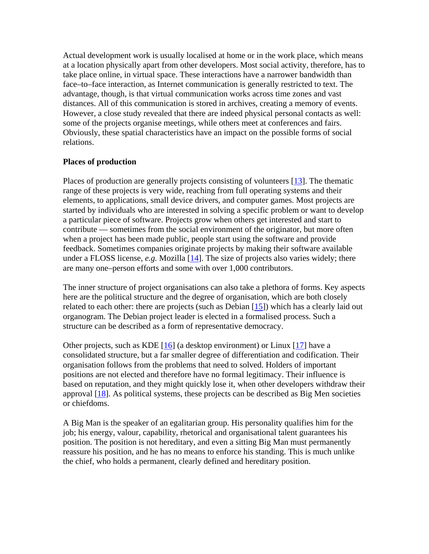Actual development work is usually localised at home or in the work place, which means at a location physically apart from other developers. Most social activity, therefore, has to take place online, in virtual space. These interactions have a narrower bandwidth than face–to–face interaction, as Internet communication is generally restricted to text. The advantage, though, is that virtual communication works across time zones and vast distances. All of this communication is stored in archives, creating a memory of events. However, a close study revealed that there are indeed physical personal contacts as well: some of the projects organise meetings, while others meet at conferences and fairs. Obviously, these spatial characteristics have an impact on the possible forms of social relations.

#### **Places of production**

Places of production are generally projects consisting of volunteers [[13\]](http://www.firstmonday.org/issues/issue9_11/lehmann/index.html#note13). The thematic range of these projects is very wide, reaching from full operating systems and their elements, to applications, small device drivers, and computer games. Most projects are started by individuals who are interested in solving a specific problem or want to develop a particular piece of software. Projects grow when others get interested and start to contribute — sometimes from the social environment of the originator, but more often when a project has been made public, people start using the software and provide feedback. Sometimes companies originate projects by making their software available under a FLOSS license, *e.g.* Mozilla [[14\]](http://www.firstmonday.org/issues/issue9_11/lehmann/index.html#note14). The size of projects also varies widely; there are many one–person efforts and some with over 1,000 contributors.

The inner structure of project organisations can also take a plethora of forms. Key aspects here are the political structure and the degree of organisation, which are both closely related to each other: there are projects (such as Debian  $[15]$  $[15]$ ) which has a clearly laid out organogram. The Debian project leader is elected in a formalised process. Such a structure can be described as a form of representative democracy.

Other projects, such as KDE  $[16]$  $[16]$  (a desktop environment) or Linux  $[17]$  $[17]$  have a consolidated structure, but a far smaller degree of differentiation and codification. Their organisation follows from the problems that need to solved. Holders of important positions are not elected and therefore have no formal legitimacy. Their influence is based on reputation, and they might quickly lose it, when other developers withdraw their approval  $[18]$ . As political systems, these projects can be described as Big Men societies or chiefdoms.

A Big Man is the speaker of an egalitarian group. His personality qualifies him for the job; his energy, valour, capability, rhetorical and organisational talent guarantees his position. The position is not hereditary, and even a sitting Big Man must permanently reassure his position, and he has no means to enforce his standing. This is much unlike the chief, who holds a permanent, clearly defined and hereditary position.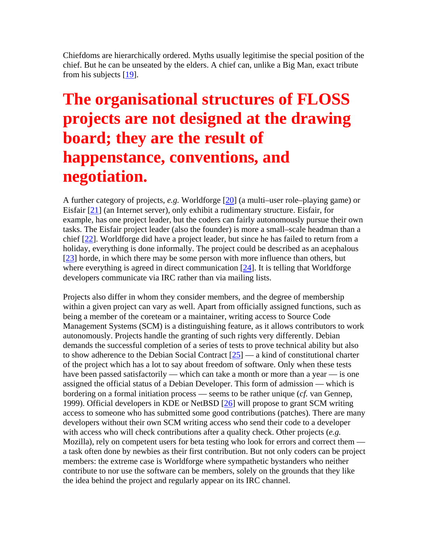Chiefdoms are hierarchically ordered. Myths usually legitimise the special position of the chief. But he can be unseated by the elders. A chief can, unlike a Big Man, exact tribute from his subjects [\[19\]](http://www.firstmonday.org/issues/issue9_11/lehmann/index.html#note19).

# **The organisational structures of FLOSS projects are not designed at the drawing board; they are the result of happenstance, conventions, and negotiation.**

A further category of projects, *e.g.* Worldforge [\[20\]](http://www.firstmonday.org/issues/issue9_11/lehmann/index.html#note20) (a multi–user role–playing game) or Eisfair [\[21](http://www.firstmonday.org/issues/issue9_11/lehmann/index.html#note21)] (an Internet server), only exhibit a rudimentary structure. Eisfair, for example, has one project leader, but the coders can fairly autonomously pursue their own tasks. The Eisfair project leader (also the founder) is more a small–scale headman than a chief [[22\]](http://www.firstmonday.org/issues/issue9_11/lehmann/index.html#note22). Worldforge did have a project leader, but since he has failed to return from a holiday, everything is done informally. The project could be described as an acephalous [[23\]](http://www.firstmonday.org/issues/issue9_11/lehmann/index.html#note23) horde, in which there may be some person with more influence than others, but where everything is agreed in direct communication  $[24]$  $[24]$ . It is telling that Worldforge developers communicate via IRC rather than via mailing lists.

Projects also differ in whom they consider members, and the degree of membership within a given project can vary as well. Apart from officially assigned functions, such as being a member of the coreteam or a maintainer, writing access to Source Code Management Systems (SCM) is a distinguishing feature, as it allows contributors to work autonomously. Projects handle the granting of such rights very differently. Debian demands the successful completion of a series of tests to prove technical ability but also to show adherence to the Debian Social Contract  $[25]$  $[25]$  — a kind of constitutional charter of the project which has a lot to say about freedom of software. Only when these tests have been passed satisfactorily — which can take a month or more than a year — is one assigned the official status of a Debian Developer. This form of admission — which is bordering on a formal initiation process — seems to be rather unique (*cf.* van Gennep, 1999). Official developers in KDE or NetBSD [[26\]](http://www.firstmonday.org/issues/issue9_11/lehmann/index.html#note26) will propose to grant SCM writing access to someone who has submitted some good contributions (patches). There are many developers without their own SCM writing access who send their code to a developer with access who will check contributions after a quality check. Other projects (*e.g.* Mozilla), rely on competent users for beta testing who look for errors and correct them a task often done by newbies as their first contribution. But not only coders can be project members: the extreme case is Worldforge where sympathetic bystanders who neither contribute to nor use the software can be members, solely on the grounds that they like the idea behind the project and regularly appear on its IRC channel.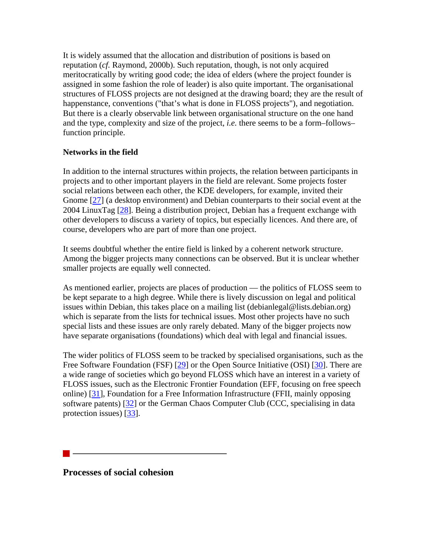It is widely assumed that the allocation and distribution of positions is based on reputation (*cf.* Raymond, 2000b). Such reputation, though, is not only acquired meritocratically by writing good code; the idea of elders (where the project founder is assigned in some fashion the role of leader) is also quite important. The organisational structures of FLOSS projects are not designed at the drawing board; they are the result of happenstance, conventions ("that's what is done in FLOSS projects"), and negotiation. But there is a clearly observable link between organisational structure on the one hand and the type, complexity and size of the project, *i.e.* there seems to be a form–follows– function principle.

### **Networks in the field**

In addition to the internal structures within projects, the relation between participants in projects and to other important players in the field are relevant. Some projects foster social relations between each other, the KDE developers, for example, invited their Gnome [\[27](http://www.firstmonday.org/issues/issue9_11/lehmann/index.html#note27)] (a desktop environment) and Debian counterparts to their social event at the 2004 LinuxTag [\[28](http://www.firstmonday.org/issues/issue9_11/lehmann/index.html#note28)]. Being a distribution project, Debian has a frequent exchange with other developers to discuss a variety of topics, but especially licences. And there are, of course, developers who are part of more than one project.

It seems doubtful whether the entire field is linked by a coherent network structure. Among the bigger projects many connections can be observed. But it is unclear whether smaller projects are equally well connected.

As mentioned earlier, projects are places of production — the politics of FLOSS seem to be kept separate to a high degree. While there is lively discussion on legal and political issues within Debian, this takes place on a mailing list (debianlegal@lists.debian.org) which is separate from the lists for technical issues. Most other projects have no such special lists and these issues are only rarely debated. Many of the bigger projects now have separate organisations (foundations) which deal with legal and financial issues.

The wider politics of FLOSS seem to be tracked by specialised organisations, such as the Free Software Foundation (FSF) [\[29](http://www.firstmonday.org/issues/issue9_11/lehmann/index.html#note29)] or the Open Source Initiative (OSI) [\[30\]](http://www.firstmonday.org/issues/issue9_11/lehmann/index.html#note30). There are a wide range of societies which go beyond FLOSS which have an interest in a variety of FLOSS issues, such as the Electronic Frontier Foundation (EFF, focusing on free speech online) [\[31\]](http://www.firstmonday.org/issues/issue9_11/lehmann/index.html#note31), Foundation for a Free Information Infrastructure (FFII, mainly opposing software patents) [\[32](http://www.firstmonday.org/issues/issue9_11/lehmann/index.html#note32)] or the German Chaos Computer Club (CCC, specialising in data protection issues) [\[33](http://www.firstmonday.org/issues/issue9_11/lehmann/index.html#note33)].

**Processes of social cohesion**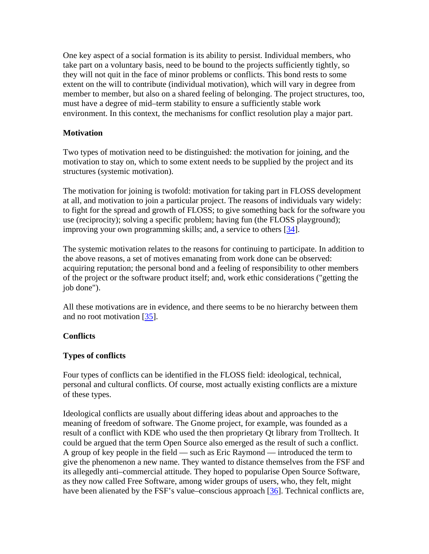One key aspect of a social formation is its ability to persist. Individual members, who take part on a voluntary basis, need to be bound to the projects sufficiently tightly, so they will not quit in the face of minor problems or conflicts. This bond rests to some extent on the will to contribute (individual motivation), which will vary in degree from member to member, but also on a shared feeling of belonging. The project structures, too, must have a degree of mid–term stability to ensure a sufficiently stable work environment. In this context, the mechanisms for conflict resolution play a major part.

#### **Motivation**

Two types of motivation need to be distinguished: the motivation for joining, and the motivation to stay on, which to some extent needs to be supplied by the project and its structures (systemic motivation).

The motivation for joining is twofold: motivation for taking part in FLOSS development at all, and motivation to join a particular project. The reasons of individuals vary widely: to fight for the spread and growth of FLOSS; to give something back for the software you use (reciprocity); solving a specific problem; having fun (the FLOSS playground); improving your own programming skills; and, a service to others [[34\]](http://www.firstmonday.org/issues/issue9_11/lehmann/index.html#note34).

The systemic motivation relates to the reasons for continuing to participate. In addition to the above reasons, a set of motives emanating from work done can be observed: acquiring reputation; the personal bond and a feeling of responsibility to other members of the project or the software product itself; and, work ethic considerations ("getting the job done").

All these motivations are in evidence, and there seems to be no hierarchy between them and no root motivation [[35\]](http://www.firstmonday.org/issues/issue9_11/lehmann/index.html#note35).

### **Conflicts**

### **Types of conflicts**

Four types of conflicts can be identified in the FLOSS field: ideological, technical, personal and cultural conflicts. Of course, most actually existing conflicts are a mixture of these types.

Ideological conflicts are usually about differing ideas about and approaches to the meaning of freedom of software. The Gnome project, for example, was founded as a result of a conflict with KDE who used the then proprietary Qt library from Trolltech. It could be argued that the term Open Source also emerged as the result of such a conflict. A group of key people in the field — such as Eric Raymond — introduced the term to give the phenomenon a new name. They wanted to distance themselves from the FSF and its allegedly anti–commercial attitude. They hoped to popularise Open Source Software, as they now called Free Software, among wider groups of users, who, they felt, might have been alienated by the FSF's value–conscious approach [\[36](http://www.firstmonday.org/issues/issue9_11/lehmann/index.html#note36)]. Technical conflicts are,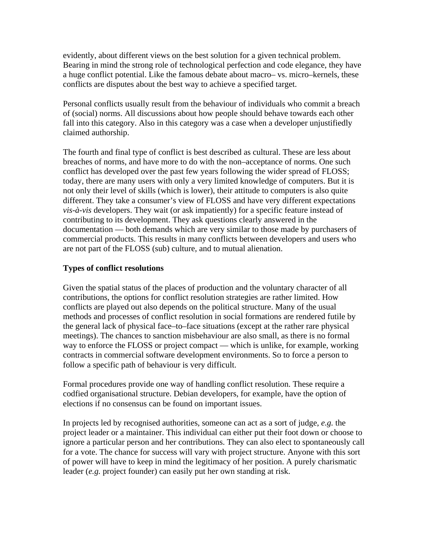evidently, about different views on the best solution for a given technical problem. Bearing in mind the strong role of technological perfection and code elegance, they have a huge conflict potential. Like the famous debate about macro– vs. micro–kernels, these conflicts are disputes about the best way to achieve a specified target.

Personal conflicts usually result from the behaviour of individuals who commit a breach of (social) norms. All discussions about how people should behave towards each other fall into this category. Also in this category was a case when a developer unjustifiedly claimed authorship.

The fourth and final type of conflict is best described as cultural. These are less about breaches of norms, and have more to do with the non–acceptance of norms. One such conflict has developed over the past few years following the wider spread of FLOSS; today, there are many users with only a very limited knowledge of computers. But it is not only their level of skills (which is lower), their attitude to computers is also quite different. They take a consumer's view of FLOSS and have very different expectations *vis-à-vis* developers. They wait (or ask impatiently) for a specific feature instead of contributing to its development. They ask questions clearly answered in the documentation — both demands which are very similar to those made by purchasers of commercial products. This results in many conflicts between developers and users who are not part of the FLOSS (sub) culture, and to mutual alienation.

### **Types of conflict resolutions**

Given the spatial status of the places of production and the voluntary character of all contributions, the options for conflict resolution strategies are rather limited. How conflicts are played out also depends on the political structure. Many of the usual methods and processes of conflict resolution in social formations are rendered futile by the general lack of physical face–to–face situations (except at the rather rare physical meetings). The chances to sanction misbehaviour are also small, as there is no formal way to enforce the FLOSS or project compact — which is unlike, for example, working contracts in commercial software development environments. So to force a person to follow a specific path of behaviour is very difficult.

Formal procedures provide one way of handling conflict resolution. These require a codfied organisational structure. Debian developers, for example, have the option of elections if no consensus can be found on important issues.

In projects led by recognised authorities, someone can act as a sort of judge, *e.g.* the project leader or a maintainer. This individual can either put their foot down or choose to ignore a particular person and her contributions. They can also elect to spontaneously call for a vote. The chance for success will vary with project structure. Anyone with this sort of power will have to keep in mind the legitimacy of her position. A purely charismatic leader (*e.g.* project founder) can easily put her own standing at risk.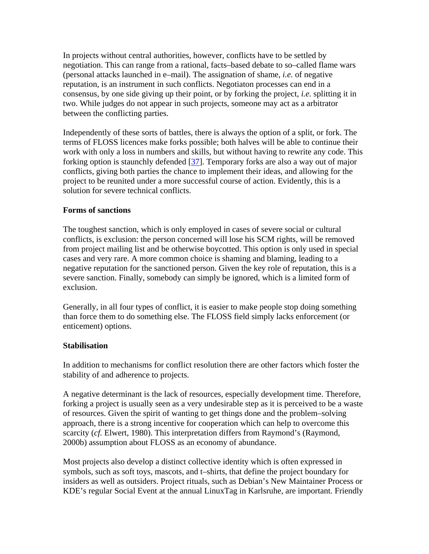In projects without central authorities, however, conflicts have to be settled by negotiation. This can range from a rational, facts–based debate to so–called flame wars (personal attacks launched in e–mail). The assignation of shame, *i.e.* of negative reputation, is an instrument in such conflicts. Negotiaton processes can end in a consensus, by one side giving up their point, or by forking the project, *i.e.* splitting it in two. While judges do not appear in such projects, someone may act as a arbitrator between the conflicting parties.

Independently of these sorts of battles, there is always the option of a split, or fork. The terms of FLOSS licences make forks possible; both halves will be able to continue their work with only a loss in numbers and skills, but without having to rewrite any code. This forking option is staunchly defended [[37\]](http://www.firstmonday.org/issues/issue9_11/lehmann/index.html#note37). Temporary forks are also a way out of major conflicts, giving both parties the chance to implement their ideas, and allowing for the project to be reunited under a more successful course of action. Evidently, this is a solution for severe technical conflicts.

#### **Forms of sanctions**

The toughest sanction, which is only employed in cases of severe social or cultural conflicts, is exclusion: the person concerned will lose his SCM rights, will be removed from project mailing list and be otherwise boycotted. This option is only used in special cases and very rare. A more common choice is shaming and blaming, leading to a negative reputation for the sanctioned person. Given the key role of reputation, this is a severe sanction. Finally, somebody can simply be ignored, which is a limited form of exclusion.

Generally, in all four types of conflict, it is easier to make people stop doing something than force them to do something else. The FLOSS field simply lacks enforcement (or enticement) options.

#### **Stabilisation**

In addition to mechanisms for conflict resolution there are other factors which foster the stability of and adherence to projects.

A negative determinant is the lack of resources, especially development time. Therefore, forking a project is usually seen as a very undesirable step as it is perceived to be a waste of resources. Given the spirit of wanting to get things done and the problem–solving approach, there is a strong incentive for cooperation which can help to overcome this scarcity (*cf.* Elwert, 1980). This interpretation differs from Raymond's (Raymond, 2000b) assumption about FLOSS as an economy of abundance.

Most projects also develop a distinct collective identity which is often expressed in symbols, such as soft toys, mascots, and t–shirts, that define the project boundary for insiders as well as outsiders. Project rituals, such as Debian's New Maintainer Process or KDE's regular Social Event at the annual LinuxTag in Karlsruhe, are important. Friendly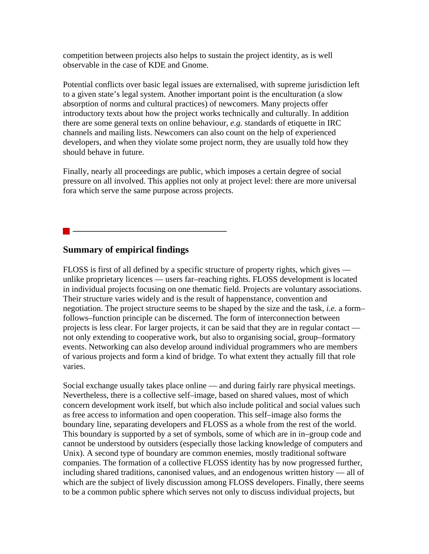competition between projects also helps to sustain the project identity, as is well observable in the case of KDE and Gnome.

Potential conflicts over basic legal issues are externalised, with supreme jurisdiction left to a given state's legal system. Another important point is the enculturation (a slow absorption of norms and cultural practices) of newcomers. Many projects offer introductory texts about how the project works technically and culturally. In addition there are some general texts on online behaviour, *e.g.* standards of etiquette in IRC channels and mailing lists. Newcomers can also count on the help of experienced developers, and when they violate some project norm, they are usually told how they should behave in future.

Finally, nearly all proceedings are public, which imposes a certain degree of social pressure on all involved. This applies not only at project level: there are more universal fora which serve the same purpose across projects.

# **Summary of empirical findings**

FLOSS is first of all defined by a specific structure of property rights, which gives unlike proprietary licences — users far–reaching rights. FLOSS development is located in individual projects focusing on one thematic field. Projects are voluntary associations. Their structure varies widely and is the result of happenstance, convention and negotiation. The project structure seems to be shaped by the size and the task, *i.e.* a form– follows–function principle can be discerned. The form of interconnection between projects is less clear. For larger projects, it can be said that they are in regular contact not only extending to cooperative work, but also to organising social, group–formatory events. Networking can also develop around individual programmers who are members of various projects and form a kind of bridge. To what extent they actually fill that role varies.

Social exchange usually takes place online — and during fairly rare physical meetings. Nevertheless, there is a collective self–image, based on shared values, most of which concern development work itself, but which also include political and social values such as free access to information and open cooperation. This self–image also forms the boundary line, separating developers and FLOSS as a whole from the rest of the world. This boundary is supported by a set of symbols, some of which are in in–group code and cannot be understood by outsiders (especially those lacking knowledge of computers and Unix). A second type of boundary are common enemies, mostly traditional software companies. The formation of a collective FLOSS identity has by now progressed further, including shared traditions, canonised values, and an endogenous written history — all of which are the subject of lively discussion among FLOSS developers. Finally, there seems to be a common public sphere which serves not only to discuss individual projects, but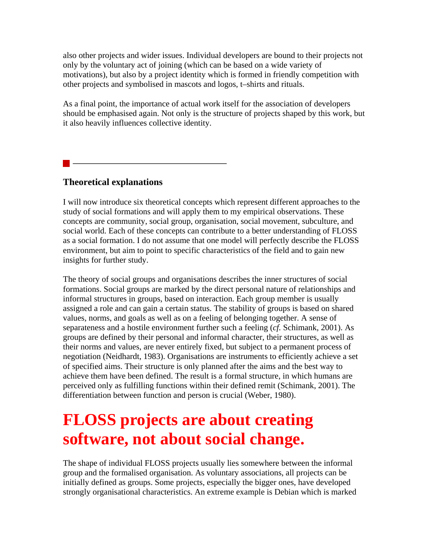also other projects and wider issues. Individual developers are bound to their projects not only by the voluntary act of joining (which can be based on a wide variety of motivations), but also by a project identity which is formed in friendly competition with other projects and symbolised in mascots and logos, t–shirts and rituals.

As a final point, the importance of actual work itself for the association of developers should be emphasised again. Not only is the structure of projects shaped by this work, but it also heavily influences collective identity.

# **Theoretical explanations**

I will now introduce six theoretical concepts which represent different approaches to the study of social formations and will apply them to my empirical observations. These concepts are community, social group, organisation, social movement, subculture, and social world. Each of these concepts can contribute to a better understanding of FLOSS as a social formation. I do not assume that one model will perfectly describe the FLOSS environment, but aim to point to specific characteristics of the field and to gain new insights for further study.

The theory of social groups and organisations describes the inner structures of social formations. Social groups are marked by the direct personal nature of relationships and informal structures in groups, based on interaction. Each group member is usually assigned a role and can gain a certain status. The stability of groups is based on shared values, norms, and goals as well as on a feeling of belonging together. A sense of separateness and a hostile environment further such a feeling (*cf.* Schimank, 2001). As groups are defined by their personal and informal character, their structures, as well as their norms and values, are never entirely fixed, but subject to a permanent process of negotiation (Neidhardt, 1983). Organisations are instruments to efficiently achieve a set of specified aims. Their structure is only planned after the aims and the best way to achieve them have been defined. The result is a formal structure, in which humans are perceived only as fulfilling functions within their defined remit (Schimank, 2001). The differentiation between function and person is crucial (Weber, 1980).

# **FLOSS projects are about creating software, not about social change.**

The shape of individual FLOSS projects usually lies somewhere between the informal group and the formalised organisation. As voluntary associations, all projects can be initially defined as groups. Some projects, especially the bigger ones, have developed strongly organisational characteristics. An extreme example is Debian which is marked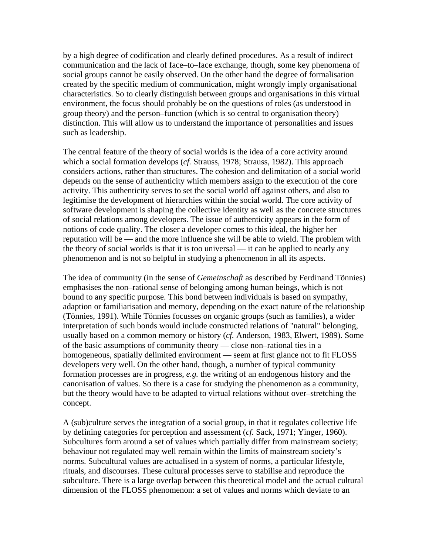by a high degree of codification and clearly defined procedures. As a result of indirect communication and the lack of face–to–face exchange, though, some key phenomena of social groups cannot be easily observed. On the other hand the degree of formalisation created by the specific medium of communication, might wrongly imply organisational characteristics. So to clearly distinguish between groups and organisations in this virtual environment, the focus should probably be on the questions of roles (as understood in group theory) and the person–function (which is so central to organisation theory) distinction. This will allow us to understand the importance of personalities and issues such as leadership.

The central feature of the theory of social worlds is the idea of a core activity around which a social formation develops (*cf.* Strauss, 1978; Strauss, 1982). This approach considers actions, rather than structures. The cohesion and delimitation of a social world depends on the sense of authenticity which members assign to the execution of the core activity. This authenticity serves to set the social world off against others, and also to legitimise the development of hierarchies within the social world. The core activity of software development is shaping the collective identity as well as the concrete structures of social relations among developers. The issue of authenticity appears in the form of notions of code quality. The closer a developer comes to this ideal, the higher her reputation will be — and the more influence she will be able to wield. The problem with the theory of social worlds is that it is too universal — it can be applied to nearly any phenomenon and is not so helpful in studying a phenomenon in all its aspects.

The idea of community (in the sense of *Gemeinschaft* as described by Ferdinand Tönnies) emphasises the non–rational sense of belonging among human beings, which is not bound to any specific purpose. This bond between individuals is based on sympathy, adaption or familiarisation and memory, depending on the exact nature of the relationship (Tönnies, 1991). While Tönnies focusses on organic groups (such as families), a wider interpretation of such bonds would include constructed relations of "natural" belonging, usually based on a common memory or history (*cf.* Anderson, 1983, Elwert, 1989). Some of the basic assumptions of community theory — close non–rational ties in a homogeneous, spatially delimited environment — seem at first glance not to fit FLOSS developers very well. On the other hand, though, a number of typical community formation processes are in progress, *e.g.* the writing of an endogenous history and the canonisation of values. So there is a case for studying the phenomenon as a community, but the theory would have to be adapted to virtual relations without over–stretching the concept.

A (sub)culture serves the integration of a social group, in that it regulates collective life by defining categories for perception and assessment (*cf.* Sack, 1971; Yinger, 1960). Subcultures form around a set of values which partially differ from mainstream society; behaviour not regulated may well remain within the limits of mainstream society's norms. Subcultural values are actualised in a system of norms, a particular lifestyle, rituals, and discourses. These cultural processes serve to stabilise and reproduce the subculture. There is a large overlap between this theoretical model and the actual cultural dimension of the FLOSS phenomenon: a set of values and norms which deviate to an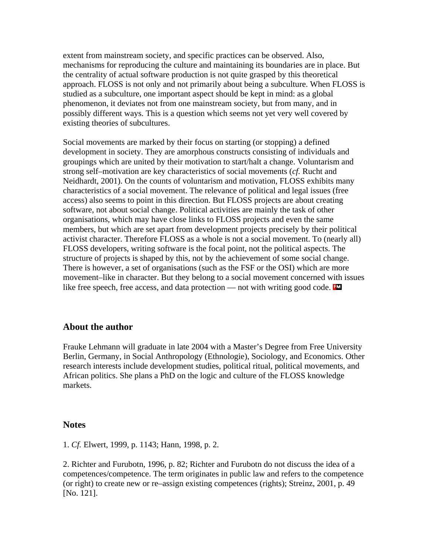extent from mainstream society, and specific practices can be observed. Also, mechanisms for reproducing the culture and maintaining its boundaries are in place. But the centrality of actual software production is not quite grasped by this theoretical approach. FLOSS is not only and not primarily about being a subculture. When FLOSS is studied as a subculture, one important aspect should be kept in mind: as a global phenomenon, it deviates not from one mainstream society, but from many, and in possibly different ways. This is a question which seems not yet very well covered by existing theories of subcultures.

Social movements are marked by their focus on starting (or stopping) a defined development in society. They are amorphous constructs consisting of individuals and groupings which are united by their motivation to start/halt a change. Voluntarism and strong self–motivation are key characteristics of social movements (*cf.* Rucht and Neidhardt, 2001). On the counts of voluntarism and motivation, FLOSS exhibits many characteristics of a social movement. The relevance of political and legal issues (free access) also seems to point in this direction. But FLOSS projects are about creating software, not about social change. Political activities are mainly the task of other organisations, which may have close links to FLOSS projects and even the same members, but which are set apart from development projects precisely by their political activist character. Therefore FLOSS as a whole is not a social movement. To (nearly all) FLOSS developers, writing software is the focal point, not the political aspects. The structure of projects is shaped by this, not by the achievement of some social change. There is however, a set of organisations (such as the FSF or the OSI) which are more movement–like in character. But they belong to a social movement concerned with issues like free speech, free access, and data protection — not with writing good code. **EX** 

#### **About the author**

Frauke Lehmann will graduate in late 2004 with a Master's Degree from Free University Berlin, Germany, in Social Anthropology (Ethnologie), Sociology, and Economics. Other research interests include development studies, political ritual, political movements, and African politics. She plans a PhD on the logic and culture of the FLOSS knowledge markets.

#### **Notes**

1. *Cf.* Elwert, 1999, p. 1143; Hann, 1998, p. 2.

2. Richter and Furubotn, 1996, p. 82; Richter and Furubotn do not discuss the idea of a competences/competence. The term originates in public law and refers to the competence (or right) to create new or re–assign existing competences (rights); Streinz, 2001, p. 49 [No. 121].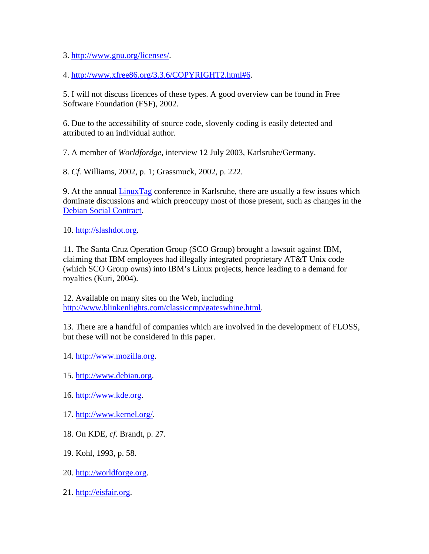3. <http://www.gnu.org/licenses/>.

4. [http://www.xfree86.org/3.3.6/COPYRIGHT2.html#6.](http://www.xfree86.org/3.3.6/COPYRIGHT2.html#6)

5. I will not discuss licences of these types. A good overview can be found in Free Software Foundation (FSF), 2002.

6. Due to the accessibility of source code, slovenly coding is easily detected and attributed to an individual author.

7. A member of *Worldfordge,* interview 12 July 2003, Karlsruhe/Germany.

8. *Cf.* Williams, 2002, p. 1; Grassmuck, 2002, p. 222.

9. At the annual [LinuxTag](http://www.linuxtag.de/) conference in Karlsruhe, there are usually a few issues which dominate discussions and which preoccupy most of those present, such as changes in the [Debian Social Contract.](http://www.debian.org/social_contract)

10. [http://slashdot.org](http://slashdot.org/).

11. The Santa Cruz Operation Group (SCO Group) brought a lawsuit against IBM, claiming that IBM employees had illegally integrated proprietary AT&T Unix code (which SCO Group owns) into IBM's Linux projects, hence leading to a demand for royalties (Kuri, 2004).

12. Available on many sites on the Web, including <http://www.blinkenlights.com/classiccmp/gateswhine.html>.

13. There are a handful of companies which are involved in the development of FLOSS, but these will not be considered in this paper.

14. [http://www.mozilla.org.](http://www.mozilla.org/)

15. [http://www.debian.org.](http://www.debian.org/)

16. [http://www.kde.org.](http://www.kde.org/)

17. [http://www.kernel.org/.](http://www.kernel.org/)

18. On KDE, *cf.* Brandt, p. 27.

19. Kohl, 1993, p. 58.

20. [http://worldforge.org.](http://worldforge.org/)

21. [http://eisfair.org.](http://eisfair.org/)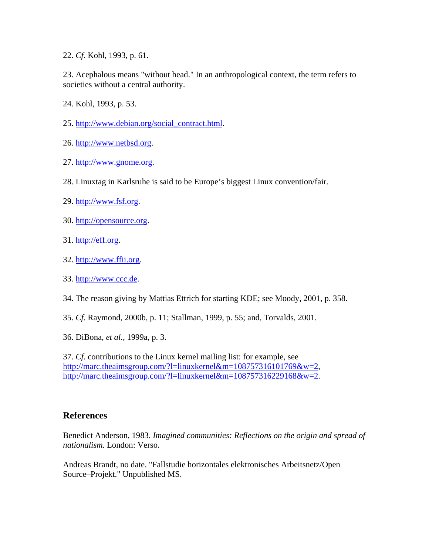22. *Cf.* Kohl, 1993, p. 61.

23. Acephalous means "without head." In an anthropological context, the term refers to societies without a central authority.

24. Kohl, 1993, p. 53.

- 25. [http://www.debian.org/social\\_contract.html.](http://www.debian.org/social_contract.html)
- 26. [http://www.netbsd.org](http://www.netbsd.org/).
- 27. [http://www.gnome.org](http://www.gnome.org/).
- 28. Linuxtag in Karlsruhe is said to be Europe's biggest Linux convention/fair.
- 29. [http://www.fsf.org](http://www.fsf.org/).
- 30. [http://opensource.org](http://opensource.org/).
- 31. [http://eff.org](http://eff.org/).
- 32. [http://www.ffii.org](http://www.ffii.org/).
- 33. [http://www.ccc.de.](http://www.ccc.de/)
- 34. The reason giving by Mattias Ettrich for starting KDE; see Moody, 2001, p. 358.
- 35. *Cf.* Raymond, 2000b, p. 11; Stallman, 1999, p. 55; and, Torvalds, 2001.
- 36. DiBona, *et al.,* 1999a, p. 3.

37. *Cf.* contributions to the Linux kernel mailing list: for example, see <http://marc.theaimsgroup.com/?l=linuxkernel&m=108757316101769&w=2>, <http://marc.theaimsgroup.com/?l=linuxkernel&m=108757316229168&w=2>.

### **References**

Benedict Anderson, 1983. *Imagined communities: Reflections on the origin and spread of nationalism.* London: Verso.

Andreas Brandt, no date. "Fallstudie horizontales elektronisches Arbeitsnetz/Open Source–Projekt." Unpublished MS.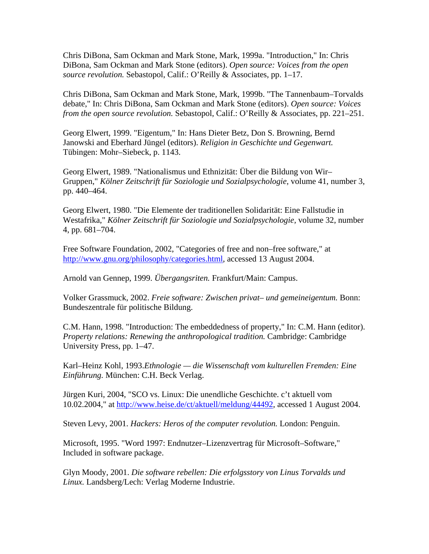Chris DiBona, Sam Ockman and Mark Stone, Mark, 1999a. "Introduction," In: Chris DiBona, Sam Ockman and Mark Stone (editors). *Open source: Voices from the open source revolution.* Sebastopol, Calif.: O'Reilly & Associates, pp. 1–17.

Chris DiBona, Sam Ockman and Mark Stone, Mark, 1999b. "The Tannenbaum–Torvalds debate," In: Chris DiBona, Sam Ockman and Mark Stone (editors). *Open source: Voices from the open source revolution.* Sebastopol, Calif.: O'Reilly & Associates, pp. 221–251.

Georg Elwert, 1999. "Eigentum," In: Hans Dieter Betz, Don S. Browning, Bernd Janowski and Eberhard Jüngel (editors). *Religion in Geschichte und Gegenwart.* Tübingen: Mohr–Siebeck, p. 1143.

Georg Elwert, 1989. "Nationalismus und Ethnizität: Über die Bildung von Wir– Gruppen," *Kölner Zeitschrift für Soziologie und Sozialpsychologie,* volume 41, number 3, pp. 440–464.

Georg Elwert, 1980. "Die Elemente der traditionellen Solidarität: Eine Fallstudie in Westafrika," *Kölner Zeitschrift für Soziologie und Sozialpsychologie,* volume 32, number 4, pp. 681–704.

Free Software Foundation, 2002, "Categories of free and non–free software," at <http://www.gnu.org/philosophy/categories.html>, accessed 13 August 2004.

Arnold van Gennep, 1999. *Übergangsriten.* Frankfurt/Main: Campus.

Volker Grassmuck, 2002. *Freie software: Zwischen privat– und gemeineigentum.* Bonn: Bundeszentrale für politische Bildung.

C.M. Hann, 1998. "Introduction: The embeddedness of property," In: C.M. Hann (editor). *Property relations: Renewing the anthropological tradition.* Cambridge: Cambridge University Press, pp. 1–47.

Karl–Heinz Kohl, 1993.*Ethnologie — die Wissenschaft vom kulturellen Fremden: Eine Einführung.* München: C.H. Beck Verlag.

Jürgen Kuri, 2004, "SCO vs. Linux: Die unendliche Geschichte. c't aktuell vom 10.02.2004," at [http://www.heise.de/ct/aktuell/meldung/44492,](http://www.heise.de/ct/aktuell/meldung/44492) accessed 1 August 2004.

Steven Levy, 2001. *Hackers: Heros of the computer revolution.* London: Penguin.

Microsoft, 1995. "Word 1997: Endnutzer–Lizenzvertrag für Microsoft–Software," Included in software package.

Glyn Moody, 2001. *Die software rebellen: Die erfolgsstory von Linus Torvalds und Linux.* Landsberg/Lech: Verlag Moderne Industrie.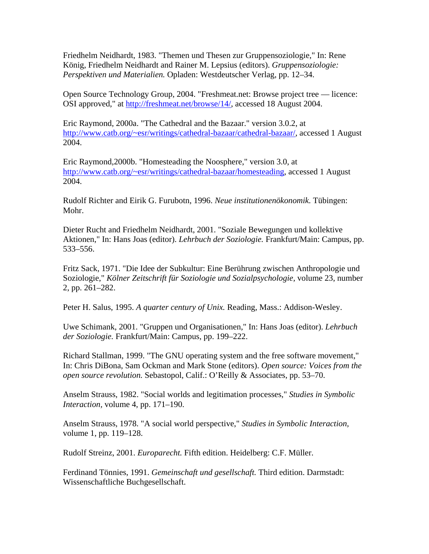Friedhelm Neidhardt, 1983. "Themen und Thesen zur Gruppensoziologie," In: Rene König, Friedhelm Neidhardt and Rainer M. Lepsius (editors). *Gruppensoziologie: Perspektiven und Materialien.* Opladen: Westdeutscher Verlag, pp. 12–34.

Open Source Technology Group, 2004. "Freshmeat.net: Browse project tree — licence: OSI approved," at [http://freshmeat.net/browse/14/,](http://freshmeat.net/browse/14/) accessed 18 August 2004.

Eric Raymond, 2000a. "The Cathedral and the Bazaar." version 3.0.2, at [http://www.catb.org/~esr/writings/cathedral-bazaar/cathedral-bazaar/,](http://www.catb.org/%7Eesr/writings/cathedral-bazaar/cathedral-bazaar/) accessed 1 August 2004.

Eric Raymond,2000b. "Homesteading the Noosphere," version 3.0, at [http://www.catb.org/~esr/writings/cathedral-bazaar/homesteading,](http://www.catb.org/%7Eesr/writings/cathedral-bazaar/homesteading) accessed 1 August 2004.

Rudolf Richter and Eirik G. Furubotn, 1996. *Neue institutionenökonomik.* Tübingen: Mohr.

Dieter Rucht and Friedhelm Neidhardt, 2001. "Soziale Bewegungen und kollektive Aktionen," In: Hans Joas (editor). *Lehrbuch der Soziologie.* Frankfurt/Main: Campus, pp. 533–556.

Fritz Sack, 1971. "Die Idee der Subkultur: Eine Berührung zwischen Anthropologie und Soziologie," *Kölner Zeitschrift für Soziologie und Sozialpsychologie,* volume 23, number 2, pp. 261–282.

Peter H. Salus, 1995. *A quarter century of Unix.* Reading, Mass.: Addison-Wesley.

Uwe Schimank, 2001. "Gruppen und Organisationen," In: Hans Joas (editor). *Lehrbuch der Soziologie.* Frankfurt/Main: Campus, pp. 199–222.

Richard Stallman, 1999. "The GNU operating system and the free software movement," In: Chris DiBona, Sam Ockman and Mark Stone (editors). *Open source: Voices from the open source revolution.* Sebastopol, Calif.: O'Reilly & Associates, pp. 53–70.

Anselm Strauss, 1982. "Social worlds and legitimation processes," *Studies in Symbolic Interaction,* volume 4, pp. 171–190.

Anselm Strauss, 1978. "A social world perspective," *Studies in Symbolic Interaction,* volume 1, pp. 119–128.

Rudolf Streinz, 2001. *Europarecht.* Fifth edition. Heidelberg: C.F. Müller.

Ferdinand Tönnies, 1991. *Gemeinschaft und gesellschaft.* Third edition. Darmstadt: Wissenschaftliche Buchgesellschaft.